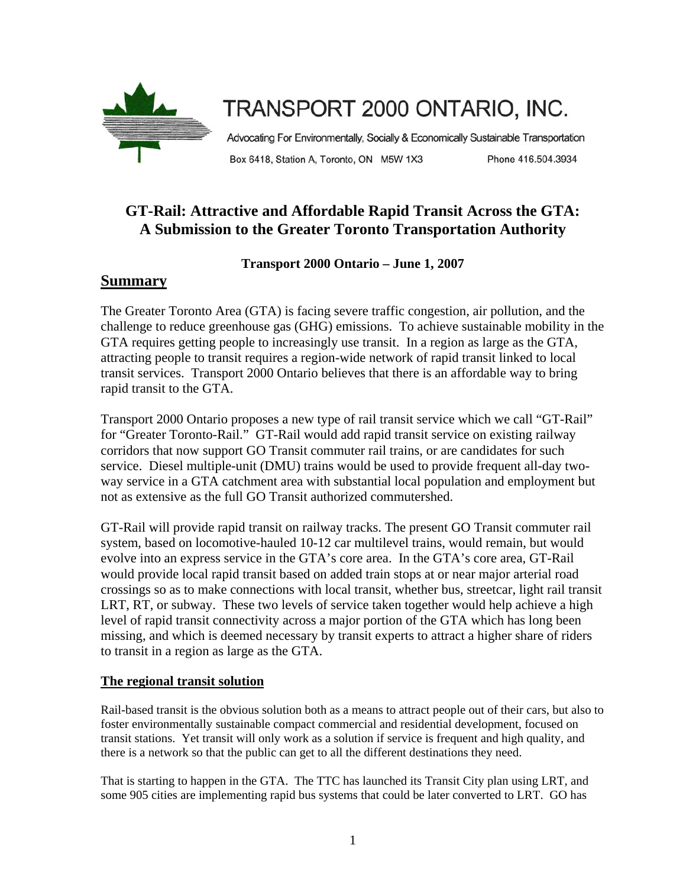

# **GT-Rail: Attractive and Affordable Rapid Transit Across the GTA: A Submission to the Greater Toronto Transportation Authority**

## **Transport 2000 Ontario – June 1, 2007**

## **Summary**

The Greater Toronto Area (GTA) is facing severe traffic congestion, air pollution, and the challenge to reduce greenhouse gas (GHG) emissions. To achieve sustainable mobility in the GTA requires getting people to increasingly use transit. In a region as large as the GTA, attracting people to transit requires a region-wide network of rapid transit linked to local transit services. Transport 2000 Ontario believes that there is an affordable way to bring rapid transit to the GTA.

Transport 2000 Ontario proposes a new type of rail transit service which we call "GT-Rail" for "Greater Toronto-Rail." GT-Rail would add rapid transit service on existing railway corridors that now support GO Transit commuter rail trains, or are candidates for such service. Diesel multiple-unit (DMU) trains would be used to provide frequent all-day twoway service in a GTA catchment area with substantial local population and employment but not as extensive as the full GO Transit authorized commutershed.

GT-Rail will provide rapid transit on railway tracks. The present GO Transit commuter rail system, based on locomotive-hauled 10-12 car multilevel trains, would remain, but would evolve into an express service in the GTA's core area. In the GTA's core area, GT-Rail would provide local rapid transit based on added train stops at or near major arterial road crossings so as to make connections with local transit, whether bus, streetcar, light rail transit LRT, RT, or subway. These two levels of service taken together would help achieve a high level of rapid transit connectivity across a major portion of the GTA which has long been missing, and which is deemed necessary by transit experts to attract a higher share of riders to transit in a region as large as the GTA.

## **The regional transit solution**

Rail-based transit is the obvious solution both as a means to attract people out of their cars, but also to foster environmentally sustainable compact commercial and residential development, focused on transit stations. Yet transit will only work as a solution if service is frequent and high quality, and there is a network so that the public can get to all the different destinations they need.

That is starting to happen in the GTA. The TTC has launched its Transit City plan using LRT, and some 905 cities are implementing rapid bus systems that could be later converted to LRT. GO has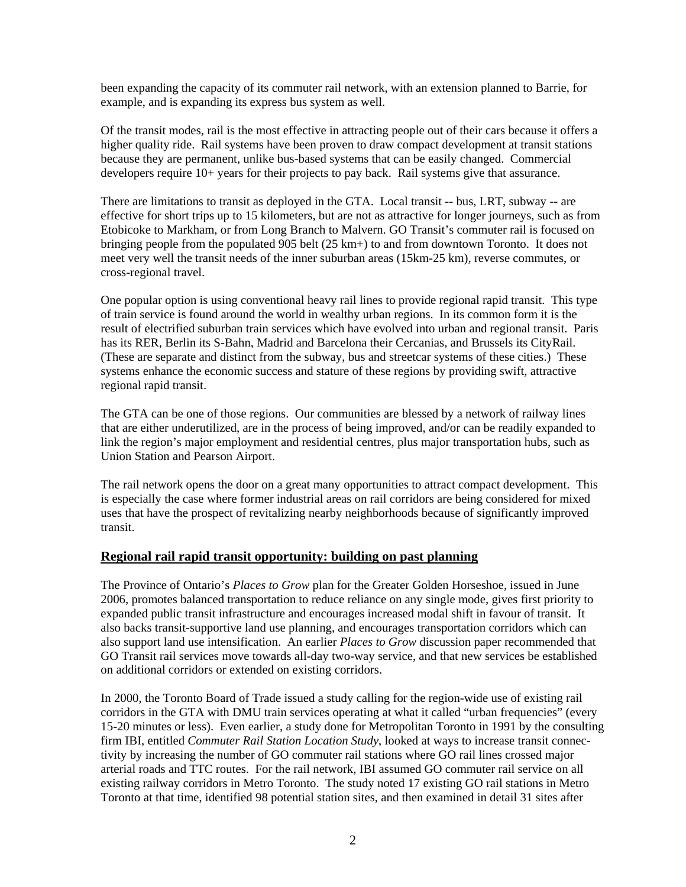been expanding the capacity of its commuter rail network, with an extension planned to Barrie, for example, and is expanding its express bus system as well.

Of the transit modes, rail is the most effective in attracting people out of their cars because it offers a higher quality ride. Rail systems have been proven to draw compact development at transit stations because they are permanent, unlike bus-based systems that can be easily changed. Commercial developers require 10+ years for their projects to pay back. Rail systems give that assurance.

There are limitations to transit as deployed in the GTA. Local transit -- bus, LRT, subway -- are effective for short trips up to 15 kilometers, but are not as attractive for longer journeys, such as from Etobicoke to Markham, or from Long Branch to Malvern. GO Transit's commuter rail is focused on bringing people from the populated 905 belt (25 km+) to and from downtown Toronto. It does not meet very well the transit needs of the inner suburban areas (15km-25 km), reverse commutes, or cross-regional travel.

One popular option is using conventional heavy rail lines to provide regional rapid transit. This type of train service is found around the world in wealthy urban regions. In its common form it is the result of electrified suburban train services which have evolved into urban and regional transit. Paris has its RER, Berlin its S-Bahn, Madrid and Barcelona their Cercanias, and Brussels its CityRail. (These are separate and distinct from the subway, bus and streetcar systems of these cities.) These systems enhance the economic success and stature of these regions by providing swift, attractive regional rapid transit.

The GTA can be one of those regions. Our communities are blessed by a network of railway lines that are either underutilized, are in the process of being improved, and/or can be readily expanded to link the region's major employment and residential centres, plus major transportation hubs, such as Union Station and Pearson Airport.

The rail network opens the door on a great many opportunities to attract compact development. This is especially the case where former industrial areas on rail corridors are being considered for mixed uses that have the prospect of revitalizing nearby neighborhoods because of significantly improved transit.

## **Regional rail rapid transit opportunity: building on past planning**

The Province of Ontario's *Places to Grow* plan for the Greater Golden Horseshoe, issued in June 2006, promotes balanced transportation to reduce reliance on any single mode, gives first priority to expanded public transit infrastructure and encourages increased modal shift in favour of transit. It also backs transit-supportive land use planning, and encourages transportation corridors which can also support land use intensification. An earlier *Places to Grow* discussion paper recommended that GO Transit rail services move towards all-day two-way service, and that new services be established on additional corridors or extended on existing corridors.

In 2000, the Toronto Board of Trade issued a study calling for the region-wide use of existing rail corridors in the GTA with DMU train services operating at what it called "urban frequencies" (every 15-20 minutes or less). Even earlier, a study done for Metropolitan Toronto in 1991 by the consulting firm IBI, entitled *Commuter Rail Station Location Study*, looked at ways to increase transit connectivity by increasing the number of GO commuter rail stations where GO rail lines crossed major arterial roads and TTC routes. For the rail network, IBI assumed GO commuter rail service on all existing railway corridors in Metro Toronto. The study noted 17 existing GO rail stations in Metro Toronto at that time, identified 98 potential station sites, and then examined in detail 31 sites after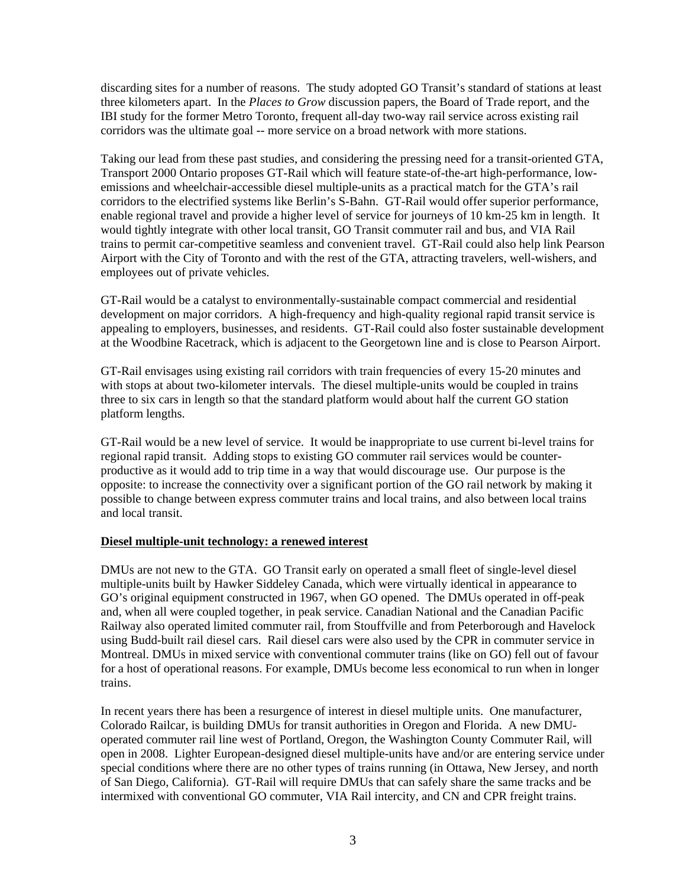discarding sites for a number of reasons. The study adopted GO Transit's standard of stations at least three kilometers apart. In the *Places to Grow* discussion papers, the Board of Trade report, and the IBI study for the former Metro Toronto, frequent all-day two-way rail service across existing rail corridors was the ultimate goal -- more service on a broad network with more stations.

Taking our lead from these past studies, and considering the pressing need for a transit-oriented GTA, Transport 2000 Ontario proposes GT-Rail which will feature state-of-the-art high-performance, lowemissions and wheelchair-accessible diesel multiple-units as a practical match for the GTA's rail corridors to the electrified systems like Berlin's S-Bahn. GT-Rail would offer superior performance, enable regional travel and provide a higher level of service for journeys of 10 km-25 km in length. It would tightly integrate with other local transit, GO Transit commuter rail and bus, and VIA Rail trains to permit car-competitive seamless and convenient travel. GT-Rail could also help link Pearson Airport with the City of Toronto and with the rest of the GTA, attracting travelers, well-wishers, and employees out of private vehicles.

GT-Rail would be a catalyst to environmentally-sustainable compact commercial and residential development on major corridors. A high-frequency and high-quality regional rapid transit service is appealing to employers, businesses, and residents. GT-Rail could also foster sustainable development at the Woodbine Racetrack, which is adjacent to the Georgetown line and is close to Pearson Airport.

GT-Rail envisages using existing rail corridors with train frequencies of every 15-20 minutes and with stops at about two-kilometer intervals. The diesel multiple-units would be coupled in trains three to six cars in length so that the standard platform would about half the current GO station platform lengths.

GT-Rail would be a new level of service. It would be inappropriate to use current bi-level trains for regional rapid transit. Adding stops to existing GO commuter rail services would be counterproductive as it would add to trip time in a way that would discourage use. Our purpose is the opposite: to increase the connectivity over a significant portion of the GO rail network by making it possible to change between express commuter trains and local trains, and also between local trains and local transit.

## **Diesel multiple-unit technology: a renewed interest**

DMUs are not new to the GTA. GO Transit early on operated a small fleet of single-level diesel multiple-units built by Hawker Siddeley Canada, which were virtually identical in appearance to GO's original equipment constructed in 1967, when GO opened. The DMUs operated in off-peak and, when all were coupled together, in peak service. Canadian National and the Canadian Pacific Railway also operated limited commuter rail, from Stouffville and from Peterborough and Havelock using Budd-built rail diesel cars. Rail diesel cars were also used by the CPR in commuter service in Montreal. DMUs in mixed service with conventional commuter trains (like on GO) fell out of favour for a host of operational reasons. For example, DMUs become less economical to run when in longer trains.

In recent years there has been a resurgence of interest in diesel multiple units. One manufacturer, Colorado Railcar, is building DMUs for transit authorities in Oregon and Florida. A new DMUoperated commuter rail line west of Portland, Oregon, the Washington County Commuter Rail, will open in 2008. Lighter European-designed diesel multiple-units have and/or are entering service under special conditions where there are no other types of trains running (in Ottawa, New Jersey, and north of San Diego, California). GT-Rail will require DMUs that can safely share the same tracks and be intermixed with conventional GO commuter, VIA Rail intercity, and CN and CPR freight trains.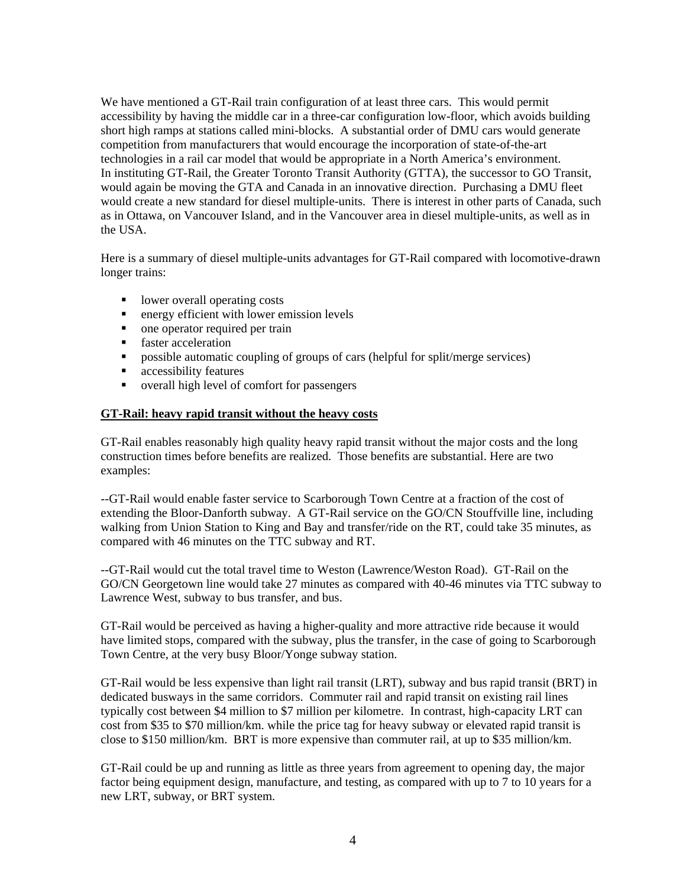We have mentioned a GT-Rail train configuration of at least three cars. This would permit accessibility by having the middle car in a three-car configuration low-floor, which avoids building short high ramps at stations called mini-blocks. A substantial order of DMU cars would generate competition from manufacturers that would encourage the incorporation of state-of-the-art technologies in a rail car model that would be appropriate in a North America's environment. In instituting GT-Rail, the Greater Toronto Transit Authority (GTTA), the successor to GO Transit, would again be moving the GTA and Canada in an innovative direction. Purchasing a DMU fleet would create a new standard for diesel multiple-units. There is interest in other parts of Canada, such as in Ottawa, on Vancouver Island, and in the Vancouver area in diesel multiple-units, as well as in the USA.

Here is a summary of diesel multiple-units advantages for GT-Rail compared with locomotive-drawn longer trains:

- lower overall operating costs
- **Example 1** energy efficient with lower emission levels
- one operator required per train
- **faster** acceleration
- possible automatic coupling of groups of cars (helpful for split/merge services)
- accessibility features
- overall high level of comfort for passengers

#### **GT-Rail: heavy rapid transit without the heavy costs**

GT-Rail enables reasonably high quality heavy rapid transit without the major costs and the long construction times before benefits are realized. Those benefits are substantial. Here are two examples:

--GT-Rail would enable faster service to Scarborough Town Centre at a fraction of the cost of extending the Bloor-Danforth subway. A GT-Rail service on the GO/CN Stouffville line, including walking from Union Station to King and Bay and transfer/ride on the RT, could take 35 minutes, as compared with 46 minutes on the TTC subway and RT.

--GT-Rail would cut the total travel time to Weston (Lawrence/Weston Road). GT-Rail on the GO/CN Georgetown line would take 27 minutes as compared with 40-46 minutes via TTC subway to Lawrence West, subway to bus transfer, and bus.

GT-Rail would be perceived as having a higher-quality and more attractive ride because it would have limited stops, compared with the subway, plus the transfer, in the case of going to Scarborough Town Centre, at the very busy Bloor/Yonge subway station.

GT-Rail would be less expensive than light rail transit (LRT), subway and bus rapid transit (BRT) in dedicated busways in the same corridors. Commuter rail and rapid transit on existing rail lines typically cost between \$4 million to \$7 million per kilometre. In contrast, high-capacity LRT can cost from \$35 to \$70 million/km. while the price tag for heavy subway or elevated rapid transit is close to \$150 million/km. BRT is more expensive than commuter rail, at up to \$35 million/km.

GT-Rail could be up and running as little as three years from agreement to opening day, the major factor being equipment design, manufacture, and testing, as compared with up to 7 to 10 years for a new LRT, subway, or BRT system.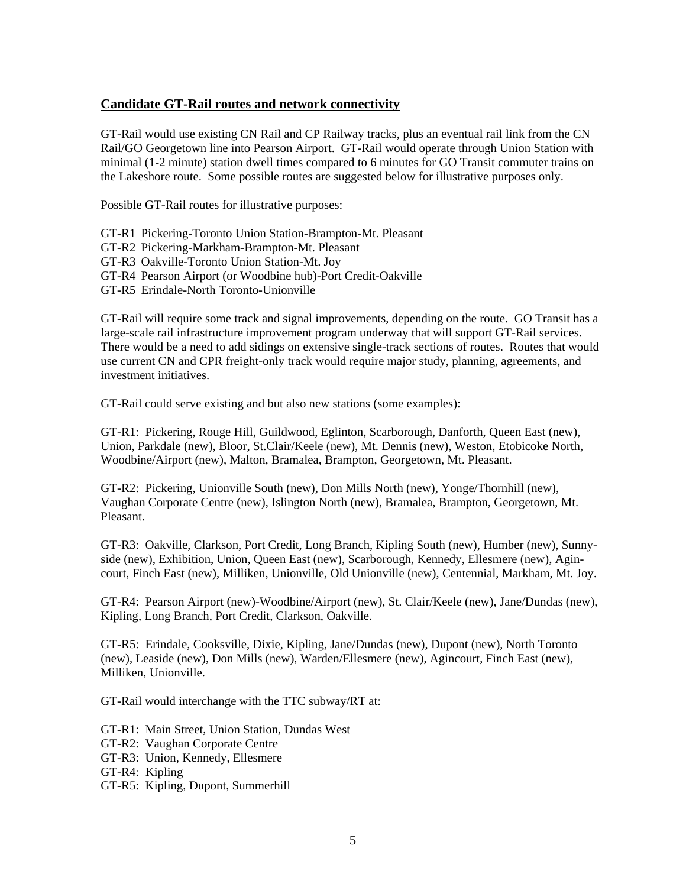## **Candidate GT-Rail routes and network connectivity**

GT-Rail would use existing CN Rail and CP Railway tracks, plus an eventual rail link from the CN Rail/GO Georgetown line into Pearson Airport. GT-Rail would operate through Union Station with minimal (1-2 minute) station dwell times compared to 6 minutes for GO Transit commuter trains on the Lakeshore route. Some possible routes are suggested below for illustrative purposes only.

Possible GT-Rail routes for illustrative purposes:

GT-R1 Pickering-Toronto Union Station-Brampton-Mt. Pleasant GT-R2 Pickering-Markham-Brampton-Mt. Pleasant GT-R3 Oakville-Toronto Union Station-Mt. Joy GT-R4 Pearson Airport (or Woodbine hub)-Port Credit-Oakville GT-R5 Erindale-North Toronto-Unionville

GT-Rail will require some track and signal improvements, depending on the route. GO Transit has a large-scale rail infrastructure improvement program underway that will support GT-Rail services. There would be a need to add sidings on extensive single-track sections of routes. Routes that would use current CN and CPR freight-only track would require major study, planning, agreements, and investment initiatives.

## GT-Rail could serve existing and but also new stations (some examples):

GT-R1: Pickering, Rouge Hill, Guildwood, Eglinton, Scarborough, Danforth, Queen East (new), Union, Parkdale (new), Bloor, St.Clair/Keele (new), Mt. Dennis (new), Weston, Etobicoke North, Woodbine/Airport (new), Malton, Bramalea, Brampton, Georgetown, Mt. Pleasant.

GT-R2: Pickering, Unionville South (new), Don Mills North (new), Yonge/Thornhill (new), Vaughan Corporate Centre (new), Islington North (new), Bramalea, Brampton, Georgetown, Mt. Pleasant.

GT-R3: Oakville, Clarkson, Port Credit, Long Branch, Kipling South (new), Humber (new), Sunnyside (new), Exhibition, Union, Queen East (new), Scarborough, Kennedy, Ellesmere (new), Agincourt, Finch East (new), Milliken, Unionville, Old Unionville (new), Centennial, Markham, Mt. Joy.

GT-R4: Pearson Airport (new)-Woodbine/Airport (new), St. Clair/Keele (new), Jane/Dundas (new), Kipling, Long Branch, Port Credit, Clarkson, Oakville.

GT-R5: Erindale, Cooksville, Dixie, Kipling, Jane/Dundas (new), Dupont (new), North Toronto (new), Leaside (new), Don Mills (new), Warden/Ellesmere (new), Agincourt, Finch East (new), Milliken, Unionville.

GT-Rail would interchange with the TTC subway/RT at:

- GT-R1: Main Street, Union Station, Dundas West
- GT-R2: Vaughan Corporate Centre
- GT-R3: Union, Kennedy, Ellesmere
- GT-R4: Kipling
- GT-R5: Kipling, Dupont, Summerhill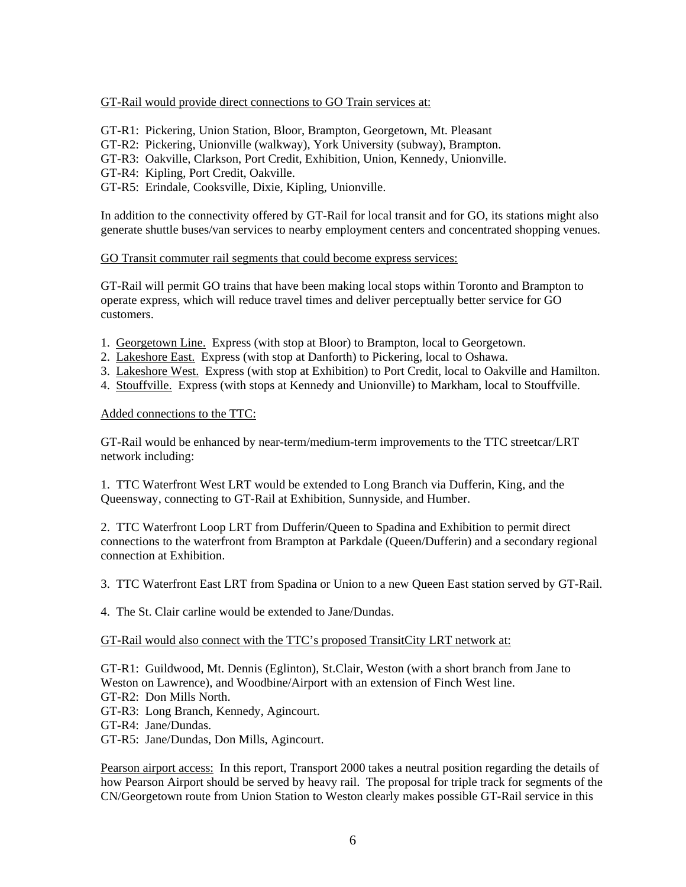## GT-Rail would provide direct connections to GO Train services at:

- GT-R1: Pickering, Union Station, Bloor, Brampton, Georgetown, Mt. Pleasant
- GT-R2: Pickering, Unionville (walkway), York University (subway), Brampton.
- GT-R3: Oakville, Clarkson, Port Credit, Exhibition, Union, Kennedy, Unionville.
- GT-R4: Kipling, Port Credit, Oakville.
- GT-R5: Erindale, Cooksville, Dixie, Kipling, Unionville.

In addition to the connectivity offered by GT-Rail for local transit and for GO, its stations might also generate shuttle buses/van services to nearby employment centers and concentrated shopping venues.

#### GO Transit commuter rail segments that could become express services:

GT-Rail will permit GO trains that have been making local stops within Toronto and Brampton to operate express, which will reduce travel times and deliver perceptually better service for GO customers.

- 1. Georgetown Line. Express (with stop at Bloor) to Brampton, local to Georgetown.
- 2. Lakeshore East. Express (with stop at Danforth) to Pickering, local to Oshawa.
- 3. Lakeshore West. Express (with stop at Exhibition) to Port Credit, local to Oakville and Hamilton.
- 4. Stouffville. Express (with stops at Kennedy and Unionville) to Markham, local to Stouffville.

## Added connections to the TTC:

GT-Rail would be enhanced by near-term/medium-term improvements to the TTC streetcar/LRT network including:

1. TTC Waterfront West LRT would be extended to Long Branch via Dufferin, King, and the Queensway, connecting to GT-Rail at Exhibition, Sunnyside, and Humber.

2. TTC Waterfront Loop LRT from Dufferin/Queen to Spadina and Exhibition to permit direct connections to the waterfront from Brampton at Parkdale (Queen/Dufferin) and a secondary regional connection at Exhibition.

3. TTC Waterfront East LRT from Spadina or Union to a new Queen East station served by GT-Rail.

4. The St. Clair carline would be extended to Jane/Dundas.

## GT-Rail would also connect with the TTC's proposed TransitCity LRT network at:

GT-R1: Guildwood, Mt. Dennis (Eglinton), St.Clair, Weston (with a short branch from Jane to Weston on Lawrence), and Woodbine/Airport with an extension of Finch West line.

GT-R2: Don Mills North.

GT-R3: Long Branch, Kennedy, Agincourt.

GT-R4: Jane/Dundas.

GT-R5: Jane/Dundas, Don Mills, Agincourt.

Pearson airport access: In this report, Transport 2000 takes a neutral position regarding the details of how Pearson Airport should be served by heavy rail. The proposal for triple track for segments of the CN/Georgetown route from Union Station to Weston clearly makes possible GT-Rail service in this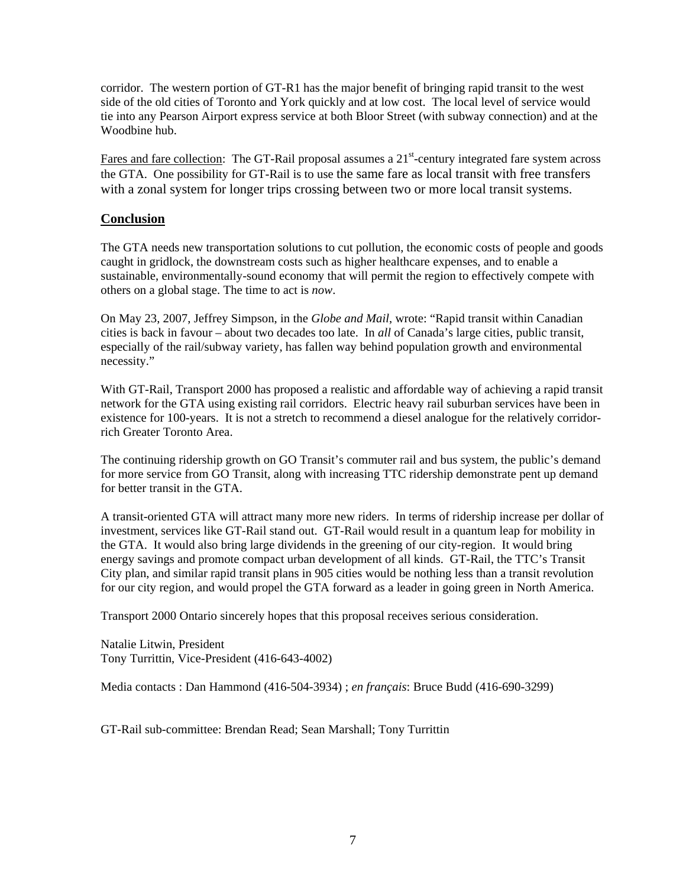corridor. The western portion of GT-R1 has the major benefit of bringing rapid transit to the west side of the old cities of Toronto and York quickly and at low cost. The local level of service would tie into any Pearson Airport express service at both Bloor Street (with subway connection) and at the Woodbine hub.

Fares and fare collection: The GT-Rail proposal assumes a  $21<sup>st</sup>$ -century integrated fare system across the GTA. One possibility for GT-Rail is to use the same fare as local transit with free transfers with a zonal system for longer trips crossing between two or more local transit systems.

## **Conclusion**

The GTA needs new transportation solutions to cut pollution, the economic costs of people and goods caught in gridlock, the downstream costs such as higher healthcare expenses, and to enable a sustainable, environmentally-sound economy that will permit the region to effectively compete with others on a global stage. The time to act is *now*.

On May 23, 2007, Jeffrey Simpson, in the *Globe and Mail*, wrote: "Rapid transit within Canadian cities is back in favour – about two decades too late. In *all* of Canada's large cities, public transit, especially of the rail/subway variety, has fallen way behind population growth and environmental necessity."

With GT-Rail, Transport 2000 has proposed a realistic and affordable way of achieving a rapid transit network for the GTA using existing rail corridors. Electric heavy rail suburban services have been in existence for 100-years. It is not a stretch to recommend a diesel analogue for the relatively corridorrich Greater Toronto Area.

The continuing ridership growth on GO Transit's commuter rail and bus system, the public's demand for more service from GO Transit, along with increasing TTC ridership demonstrate pent up demand for better transit in the GTA.

A transit-oriented GTA will attract many more new riders. In terms of ridership increase per dollar of investment, services like GT-Rail stand out. GT-Rail would result in a quantum leap for mobility in the GTA. It would also bring large dividends in the greening of our city-region. It would bring energy savings and promote compact urban development of all kinds. GT-Rail, the TTC's Transit City plan, and similar rapid transit plans in 905 cities would be nothing less than a transit revolution for our city region, and would propel the GTA forward as a leader in going green in North America.

Transport 2000 Ontario sincerely hopes that this proposal receives serious consideration.

Natalie Litwin, President Tony Turrittin, Vice-President (416-643-4002)

Media contacts : Dan Hammond (416-504-3934) ; *en français*: Bruce Budd (416-690-3299)

GT-Rail sub-committee: Brendan Read; Sean Marshall; Tony Turrittin